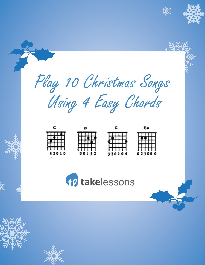



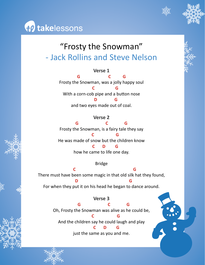

## "Frosty the Snowman" - Jack Rollins and Steve Nelson

**{}) takelessons** 

**Verse 1 G C G** Frosty the Snowman, was a jolly happy soul  **C G** With a corn-cob pipe and a button nose  **D G** and two eyes made out of coal.

#### **Verse 2**

**G C G** Frosty the Snowman, is a fairy tale they say  **C G**  He was made of snow but the children know  **C D G** how he came to life one day.

Bridge

 **C G** There must have been some magic in that old silk hat they found,  **D G**  For when they put it on his head he began to dance around.

**Verse 3**

 **G C G** Oh, Frosty the Snowman was alive as he could be,

 **C G**  And the children say he could laugh and play

 **C D G**

just the same as you and me.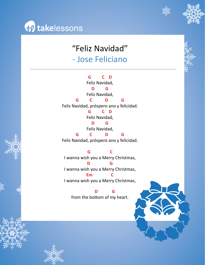



#### "Feliz Navidad" - Jose Feliciano

**G C D** Feliz Navidad, **D G** Feliz Navidad, **G C D G** Feliz Navidad, próspero ano y felicidad. **G C D** Feliz Navidad, **D G** Feliz Navidad, **G C D G**

Feliz Navidad, próspero ano y felicidad.

**G C** I wanna wish you a Merry Christmas, **D G** I wanna wish you a Merry Christmas, **Em C** I wanna wish you a Merry Christmas,

 **D G** from the bottom of my heart.

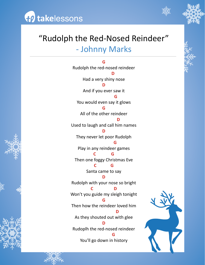



#### "Rudolph the Red-Nosed Reindeer" - Johnny Marks

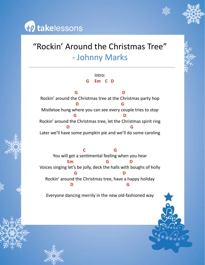

### "Rockin' Around the Christmas Tree" - Johnny Marks

Intro: **G Em C D**

**G D** Rockin' around the Christmas tree at the Christmas party hop **D G** Mistletoe hung where you can see every couple tries to stop **G D** Rockin' around the Christmas tree, let the Christmas spirit ring **D G** Later we'll have some pumpkin pie and we'll do some caroling

**C G** You will get a sentimental feeling when you hear **Em G D** Voices singing let's be jolly, deck the halls with boughs of holly **G D** Rockin' around the Christmas tree, have a happy holiday **D G**

Everyone dancing merrily in the new old-fashioned way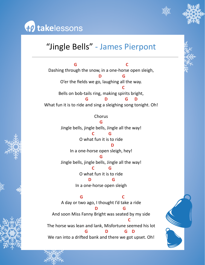

# to takelessons

#### "Jingle Bells" - James Pierpont

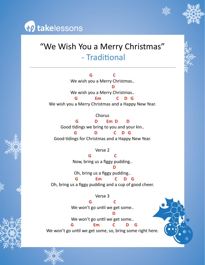



#### "We Wish You a Merry Christmas" - Traditional

**G C** We wish you a Merry Christmas.. **D** We wish you a Merry Christmas..  **G Em C D G**  We wish you a Merry Christmas and a Happy New Year.

Chorus **G D Em D D** Good tidings we bring to you and your kin.. **G D C D G**

Good tidings for Christmas and a Happy New Year.

Verse 2

**G C** Now, bring us a figgy pudding.. **D** Oh, bring us a figgy pudding..  **G Em C D G**

Oh, bring us a figgy pudding and a cup of good cheer.

Verse 3 **G C** We won't go until we get some.. **D** We won't go until we get some..

 **G Em C D G** We won't go until we get some, so, bring some right here.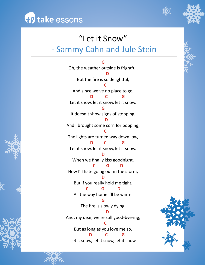



#### "Let it Snow" - Sammy Cahn and Jule Stein







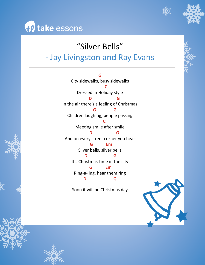



#### "Silver Bells"

#### - Jay Livingston and Ray Evans

**G**  City sidewalks, busy sidewalks **C** Dressed in Holiday style **D G** In the air there's a feeling of Christmas **G G** Children laughing, people passing **C** Meeting smile after smile  **D G** And on every street corner you hear  **G Em** Silver bells, silver bells  **D G**  It's Christmas-time in the city **G Em** Ring-a-ling, hear them ring **D G** Soon it will be Christmas day



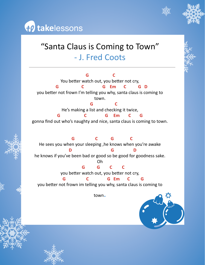



#### "Santa Claus is Coming to Town" - J. Fred Coots